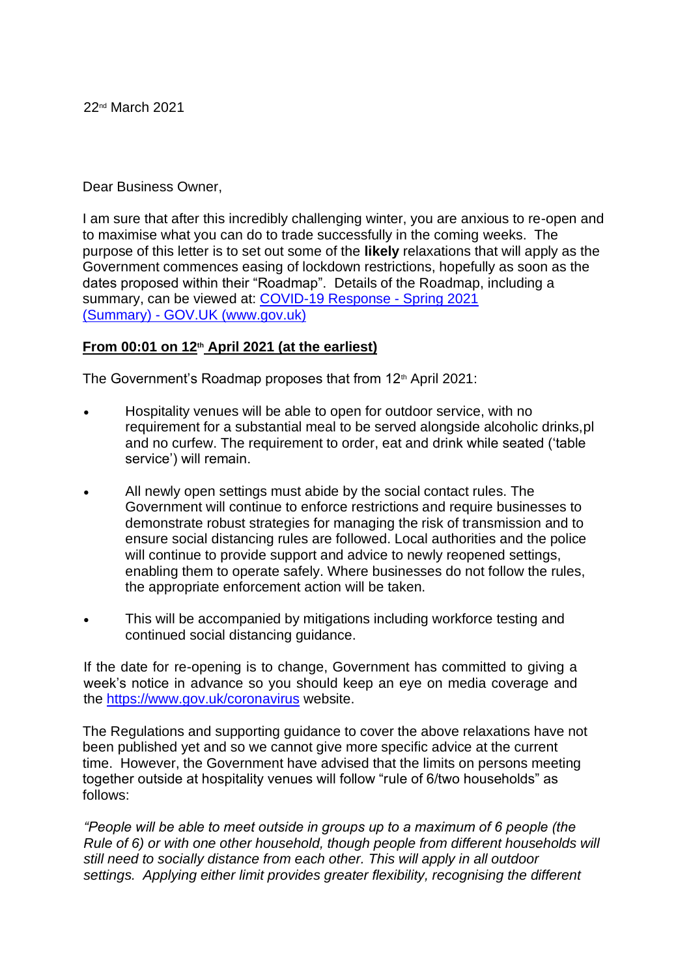### Dear Business Owner,

I am sure that after this incredibly challenging winter, you are anxious to re-open and to maximise what you can do to trade successfully in the coming weeks. The purpose of this letter is to set out some of the **likely** relaxations that will apply as the Government commences easing of lockdown restrictions, hopefully as soon as the dates proposed within their "Roadmap". Details of the Roadmap, including a summary, can be viewed at: [COVID-19 Response](https://www.gov.uk/government/publications/covid-19-response-spring-2021/covid-19-response-spring-2021-summary) [-](https://www.gov.uk/government/publications/covid-19-response-spring-2021/covid-19-response-spring-2021-summary) [Spring 2021](https://www.gov.uk/government/publications/covid-19-response-spring-2021/covid-19-response-spring-2021-summary)  [\(Summary\)](https://www.gov.uk/government/publications/covid-19-response-spring-2021/covid-19-response-spring-2021-summary) [-](https://www.gov.uk/government/publications/covid-19-response-spring-2021/covid-19-response-spring-2021-summary) [GOV.UK \(www.gov.uk\)](https://www.gov.uk/government/publications/covid-19-response-spring-2021/covid-19-response-spring-2021-summary)

#### **From 00:01 on 12th April 2021 (at the earliest)**

The Government's Roadmap proposes that from 12<sup>th</sup> April 2021:

- Hospitality venues will be able to open for outdoor service, with no requirement for a substantial meal to be served alongside alcoholic drinks,pl and no curfew. The requirement to order, eat and drink while seated ('table service') will remain.
- All newly open settings must abide by the social contact rules. The Government will continue to enforce restrictions and require businesses to demonstrate robust strategies for managing the risk of transmission and to ensure social distancing rules are followed. Local authorities and the police will continue to provide support and advice to newly reopened settings, enabling them to operate safely. Where businesses do not follow the rules, the appropriate enforcement action will be taken.
- This will be accompanied by mitigations including workforce testing and continued social distancing guidance.

If the date for re-opening is to change, Government has committed to giving a week's notice in advance so you should keep an eye on media coverage and the <https://www.gov.uk/coronavirus> [w](https://www.gov.uk/coronavirus)ebsite.

The Regulations and supporting guidance to cover the above relaxations have not been published yet and so we cannot give more specific advice at the current time. However, the Government have advised that the limits on persons meeting together outside at hospitality venues will follow "rule of 6/two households" as follows:

*"People will be able to meet outside in groups up to a maximum of 6 people (the Rule of 6) or with one other household, though people from different households will still need to socially distance from each other. This will apply in all outdoor settings. Applying either limit provides greater flexibility, recognising the different*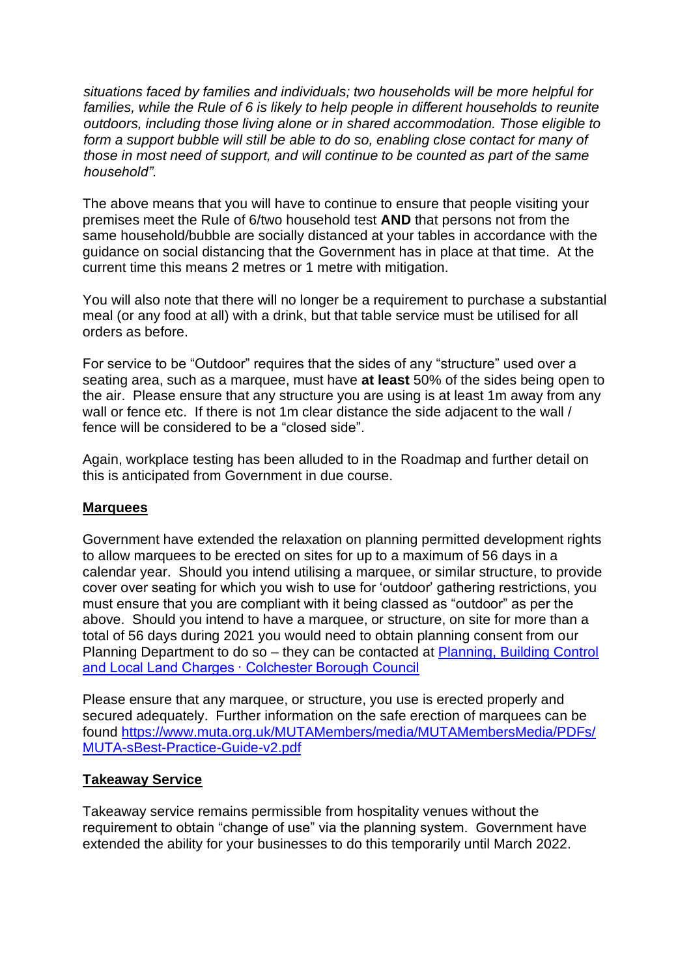*situations faced by families and individuals; two households will be more helpful for*  families, while the Rule of 6 is likely to help people in different households to reunite *outdoors, including those living alone or in shared accommodation. Those eligible to form a support bubble will still be able to do so, enabling close contact for many of those in most need of support, and will continue to be counted as part of the same household".*

The above means that you will have to continue to ensure that people visiting your premises meet the Rule of 6/two household test **AND** that persons not from the same household/bubble are socially distanced at your tables in accordance with the guidance on social distancing that the Government has in place at that time. At the current time this means 2 metres or 1 metre with mitigation.

You will also note that there will no longer be a requirement to purchase a substantial meal (or any food at all) with a drink, but that table service must be utilised for all orders as before.

For service to be "Outdoor" requires that the sides of any "structure" used over a seating area, such as a marquee, must have **at least** 50% of the sides being open to the air. Please ensure that any structure you are using is at least 1m away from any wall or fence etc. If there is not 1m clear distance the side adjacent to the wall / fence will be considered to be a "closed side".

Again, workplace testing has been alluded to in the Roadmap and further detail on this is anticipated from Government in due course.

#### **Marquees**

Government have extended the relaxation on planning permitted development rights to allow marquees to be erected on sites for up to a maximum of 56 days in a calendar year. Should you intend utilising a marquee, or similar structure, to provide cover over seating for which you wish to use for 'outdoor' gathering restrictions, you must ensure that you are compliant with it being classed as "outdoor" as per the above. Should you intend to have a marquee, or structure, on site for more than a total of 56 days during 2021 you would need to obtain planning consent from our Planning Department to do so – they can be contacted at [Planning, Building Control](https://www.colchester.gov.uk/planning/)  [and Local Land Charges · Colchester Borough Council](https://www.colchester.gov.uk/planning/)

Please ensure that any marquee, or structure, you use is erected properly and secured adequately. Further information on the safe erection of marquees can be found [https://www.muta.org.uk/MUTAMembers/media/MUTAMembersMedia/PDFs/](https://www.muta.org.uk/MUTAMembers/media/MUTAMembersMedia/PDFs/MUTA-s-Best-Practice-Guide-v2.pdf) [MUTA-sBest-Practice-Guide-v2.pdf](https://www.muta.org.uk/MUTAMembers/media/MUTAMembersMedia/PDFs/MUTA-s-Best-Practice-Guide-v2.pdf)

#### **Takeaway Service**

Takeaway service remains permissible from hospitality venues without the requirement to obtain "change of use" via the planning system. Government have extended the ability for your businesses to do this temporarily until March 2022.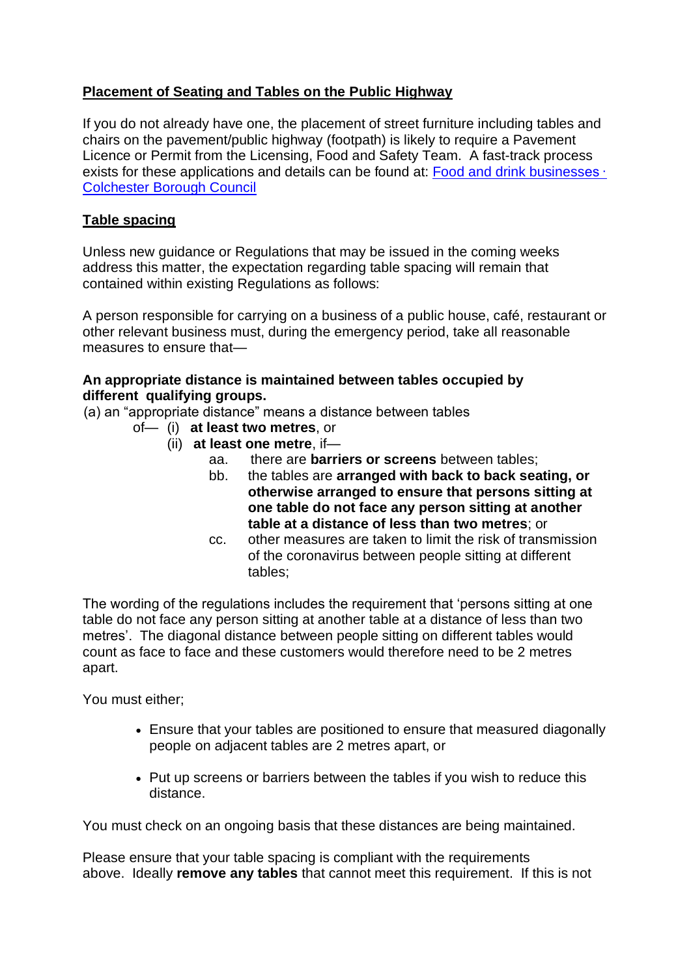# **Placement of Seating and Tables on the Public Highway**

If you do not already have one, the placement of street furniture including tables and chairs on the pavement/public highway (footpath) is likely to require a Pavement Licence or Permit from the Licensing, Food and Safety Team. A fast-track process exists for these applications and details can be found at: [Food and drink businesses ·](https://www.colchester.gov.uk/coronavirus/businesses/food-and-drink-businesses/?id=&page=temporary--pavement--permits#temporary--pavement--permits)  [Colchester Borough Council](https://www.colchester.gov.uk/coronavirus/businesses/food-and-drink-businesses/?id=&page=temporary--pavement--permits#temporary--pavement--permits)

### **Table spacing**

Unless new guidance or Regulations that may be issued in the coming weeks address this matter, the expectation regarding table spacing will remain that contained within existing Regulations as follows:

A person responsible for carrying on a business of a public house, café, restaurant or other relevant business must, during the emergency period, take all reasonable measures to ensure that—

#### **An appropriate distance is maintained between tables occupied by different qualifying groups.**

(a) an "appropriate distance" means a distance between tables

- of— (i) **at least two metres**, or
	- (ii) **at least one metre**, if
		- aa. there are **barriers or screens** between tables;
		- bb. the tables are **arranged with back to back seating, or otherwise arranged to ensure that persons sitting at one table do not face any person sitting at another table at a distance of less than two metres**; or
		- cc. other measures are taken to limit the risk of transmission of the coronavirus between people sitting at different tables;

The wording of the regulations includes the requirement that 'persons sitting at one table do not face any person sitting at another table at a distance of less than two metres'. The diagonal distance between people sitting on different tables would count as face to face and these customers would therefore need to be 2 metres apart.

You must either;

- Ensure that your tables are positioned to ensure that measured diagonally people on adjacent tables are 2 metres apart, or
- Put up screens or barriers between the tables if you wish to reduce this distance.

You must check on an ongoing basis that these distances are being maintained.

Please ensure that your table spacing is compliant with the requirements above. Ideally **remove any tables** that cannot meet this requirement. If this is not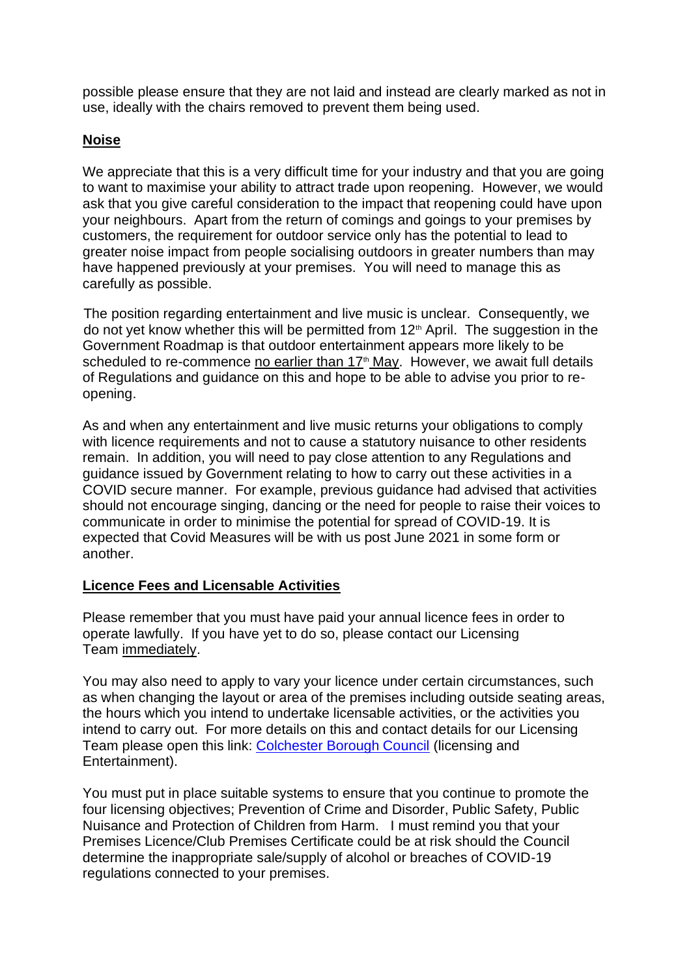possible please ensure that they are not laid and instead are clearly marked as not in use, ideally with the chairs removed to prevent them being used.

### **Noise**

We appreciate that this is a very difficult time for your industry and that you are going to want to maximise your ability to attract trade upon reopening. However, we would ask that you give careful consideration to the impact that reopening could have upon your neighbours. Apart from the return of comings and goings to your premises by customers, the requirement for outdoor service only has the potential to lead to greater noise impact from people socialising outdoors in greater numbers than may have happened previously at your premises. You will need to manage this as carefully as possible.

The position regarding entertainment and live music is unclear. Consequently, we do not yet know whether this will be permitted from  $12<sup>th</sup>$  April. The suggestion in the Government Roadmap is that outdoor entertainment appears more likely to be scheduled to re-commence no earlier than 17<sup>th</sup> May. However, we await full details of Regulations and guidance on this and hope to be able to advise you prior to reopening.

As and when any entertainment and live music returns your obligations to comply with licence requirements and not to cause a statutory nuisance to other residents remain. In addition, you will need to pay close attention to any Regulations and guidance issued by Government relating to how to carry out these activities in a COVID secure manner. For example, previous guidance had advised that activities should not encourage singing, dancing or the need for people to raise their voices to communicate in order to minimise the potential for spread of COVID-19. It is expected that Covid Measures will be with us post June 2021 in some form or another.

#### **Licence Fees and Licensable Activities**

Please remember that you must have paid your annual licence fees in order to operate lawfully. If you have yet to do so, please contact our Licensing Team immediately.

You may also need to apply to vary your licence under certain circumstances, such as when changing the layout or area of the premises including outside seating areas, the hours which you intend to undertake licensable activities, or the activities you intend to carry out. For more details on this and contact details for our Licensing Team please open this link: [Colchester Borough Council](https://www.colchester.gov.uk/info/category/?id=alcohol-and-entertainment) (licensing and Entertainment).

You must put in place suitable systems to ensure that you continue to promote the four licensing objectives; Prevention of Crime and Disorder, Public Safety, Public Nuisance and Protection of Children from Harm. I must remind you that your Premises Licence/Club Premises Certificate could be at risk should the Council determine the inappropriate sale/supply of alcohol or breaches of COVID-19 regulations connected to your premises.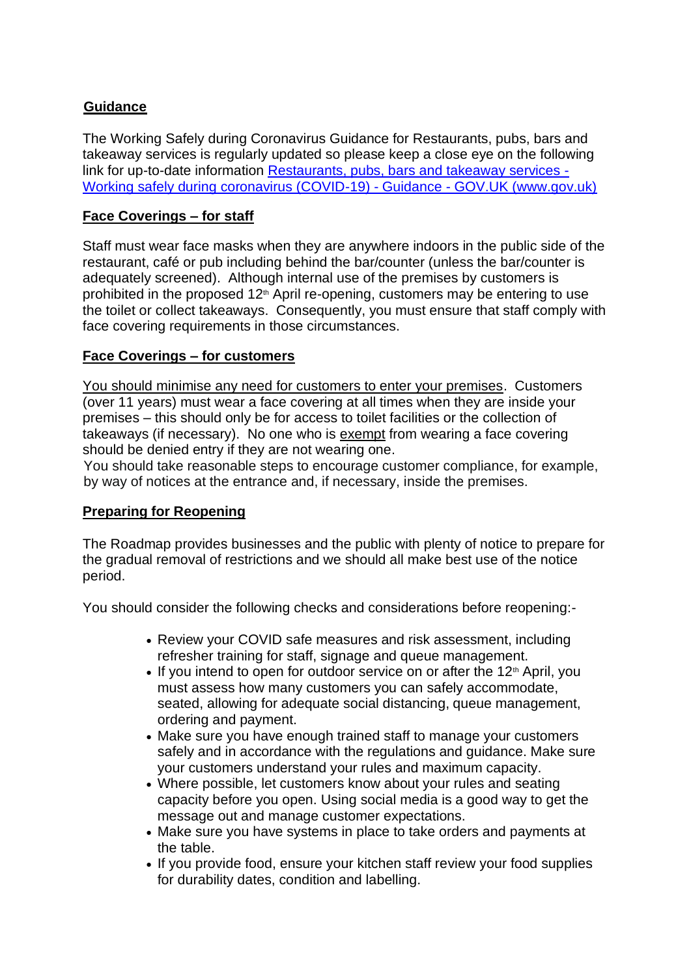## **Guidance**

The Working Safely during Coronavirus Guidance for Restaurants, pubs, bars and takeaway services is regularly updated so please keep a close eye on the following link for up-to-date information [Restaurants, pubs, bars and takeaway services -](https://www.gov.uk/guidance/working-safely-during-coronavirus-covid-19/restaurants-offering-takeaway-or-delivery) [Working safely during coronavirus \(COVID-19\) -](https://www.gov.uk/guidance/working-safely-during-coronavirus-covid-19/restaurants-offering-takeaway-or-delivery) Guidance - GOV.UK (www.gov.uk)

## **Face Coverings – for staff**

Staff must wear face masks when they are anywhere indoors in the public side of the restaurant, café or pub including behind the bar/counter (unless the bar/counter is adequately screened). Although internal use of the premises by customers is prohibited in the proposed 12<sup>th</sup> April re-opening, customers may be entering to use the toilet or collect takeaways. Consequently, you must ensure that staff comply with face covering requirements in those circumstances.

# **Face Coverings – for customers**

You should minimise any need for customers to enter your premises. Customers (over 11 years) must wear a face covering at all times when they are inside your premises – this should only be for access to toilet facilities or the collection of takeaways (if necessary). No one who is [exempt](https://www.gov.uk/guidance/coronavirus-covid-19-safer-travel-guidance-for-passengers#exemptions-face-coverings) [f](https://www.gov.uk/guidance/coronavirus-covid-19-safer-travel-guidance-for-passengers#exemptions-face-coverings)rom wearing a face covering should be denied entry if they are not wearing one.

You should take reasonable steps to encourage customer compliance, for example, by way of notices at the entrance and, if necessary, inside the premises.

### **Preparing for Reopening**

The Roadmap provides businesses and the public with plenty of notice to prepare for the gradual removal of restrictions and we should all make best use of the notice period.

You should consider the following checks and considerations before reopening:-

- Review your COVID safe measures and risk assessment, including refresher training for staff, signage and queue management.
- $\bullet$  If you intend to open for outdoor service on or after the 12<sup>th</sup> April, you must assess how many customers you can safely accommodate, seated, allowing for adequate social distancing, queue management, ordering and payment.
- Make sure you have enough trained staff to manage your customers safely and in accordance with the regulations and guidance. Make sure your customers understand your rules and maximum capacity.
- Where possible, let customers know about your rules and seating capacity before you open. Using social media is a good way to get the message out and manage customer expectations.
- Make sure you have systems in place to take orders and payments at the table.
- If you provide food, ensure your kitchen staff review your food supplies for durability dates, condition and labelling.